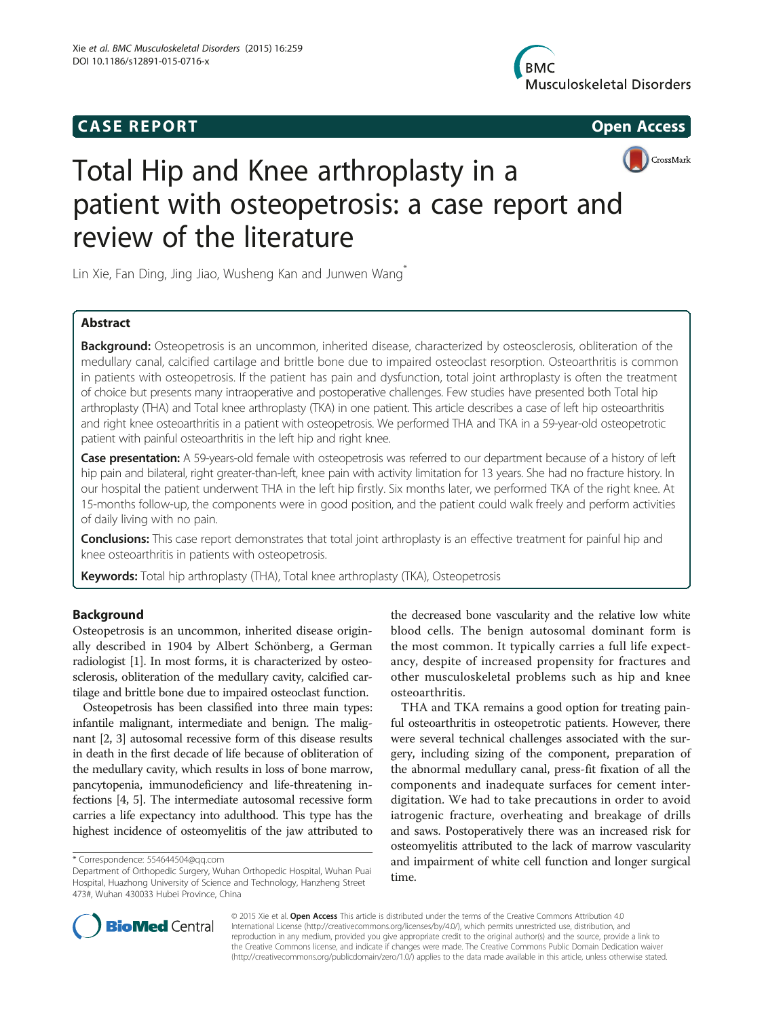# **CASE REPORT CASE REPORT**







# Total Hip and Knee arthroplasty in a patient with osteopetrosis: a case report and review of the literature

Lin Xie, Fan Ding, Jing Jiao, Wusheng Kan and Junwen Wang<sup>\*</sup>

# Abstract

Background: Osteopetrosis is an uncommon, inherited disease, characterized by osteosclerosis, obliteration of the medullary canal, calcified cartilage and brittle bone due to impaired osteoclast resorption. Osteoarthritis is common in patients with osteopetrosis. If the patient has pain and dysfunction, total joint arthroplasty is often the treatment of choice but presents many intraoperative and postoperative challenges. Few studies have presented both Total hip arthroplasty (THA) and Total knee arthroplasty (TKA) in one patient. This article describes a case of left hip osteoarthritis and right knee osteoarthritis in a patient with osteopetrosis. We performed THA and TKA in a 59-year-old osteopetrotic patient with painful osteoarthritis in the left hip and right knee.

Case presentation: A 59-years-old female with osteopetrosis was referred to our department because of a history of left hip pain and bilateral, right greater-than-left, knee pain with activity limitation for 13 years. She had no fracture history. In our hospital the patient underwent THA in the left hip firstly. Six months later, we performed TKA of the right knee. At 15-months follow-up, the components were in good position, and the patient could walk freely and perform activities of daily living with no pain.

Conclusions: This case report demonstrates that total joint arthroplasty is an effective treatment for painful hip and knee osteoarthritis in patients with osteopetrosis.

Keywords: Total hip arthroplasty (THA), Total knee arthroplasty (TKA), Osteopetrosis

# Background

Osteopetrosis is an uncommon, inherited disease originally described in 1904 by Albert Schönberg, a German radiologist [\[1\]](#page-3-0). In most forms, it is characterized by osteosclerosis, obliteration of the medullary cavity, calcified cartilage and brittle bone due to impaired osteoclast function.

Osteopetrosis has been classified into three main types: infantile malignant, intermediate and benign. The malignant [[2](#page-3-0), [3](#page-3-0)] autosomal recessive form of this disease results in death in the first decade of life because of obliteration of the medullary cavity, which results in loss of bone marrow, pancytopenia, immunodeficiency and life-threatening infections [[4](#page-3-0), [5\]](#page-3-0). The intermediate autosomal recessive form carries a life expectancy into adulthood. This type has the highest incidence of osteomyelitis of the jaw attributed to

the decreased bone vascularity and the relative low white blood cells. The benign autosomal dominant form is the most common. It typically carries a full life expectancy, despite of increased propensity for fractures and other musculoskeletal problems such as hip and knee osteoarthritis.

THA and TKA remains a good option for treating painful osteoarthritis in osteopetrotic patients. However, there were several technical challenges associated with the surgery, including sizing of the component, preparation of the abnormal medullary canal, press-fit fixation of all the components and inadequate surfaces for cement interdigitation. We had to take precautions in order to avoid iatrogenic fracture, overheating and breakage of drills and saws. Postoperatively there was an increased risk for osteomyelitis attributed to the lack of marrow vascularity and impairment of white cell function and longer surgical time.



© 2015 Xie et al. Open Access This article is distributed under the terms of the Creative Commons Attribution 4.0 International License [\(http://creativecommons.org/licenses/by/4.0/](http://creativecommons.org/licenses/by/4.0/)), which permits unrestricted use, distribution, and reproduction in any medium, provided you give appropriate credit to the original author(s) and the source, provide a link to the Creative Commons license, and indicate if changes were made. The Creative Commons Public Domain Dedication waiver [\(http://creativecommons.org/publicdomain/zero/1.0/](http://creativecommons.org/publicdomain/zero/1.0/)) applies to the data made available in this article, unless otherwise stated.

<sup>\*</sup> Correspondence: [554644504@qq.com](mailto:554644504@qq.com)

Department of Orthopedic Surgery, Wuhan Orthopedic Hospital, Wuhan Puai Hospital, Huazhong University of Science and Technology, Hanzheng Street 473#, Wuhan 430033 Hubei Province, China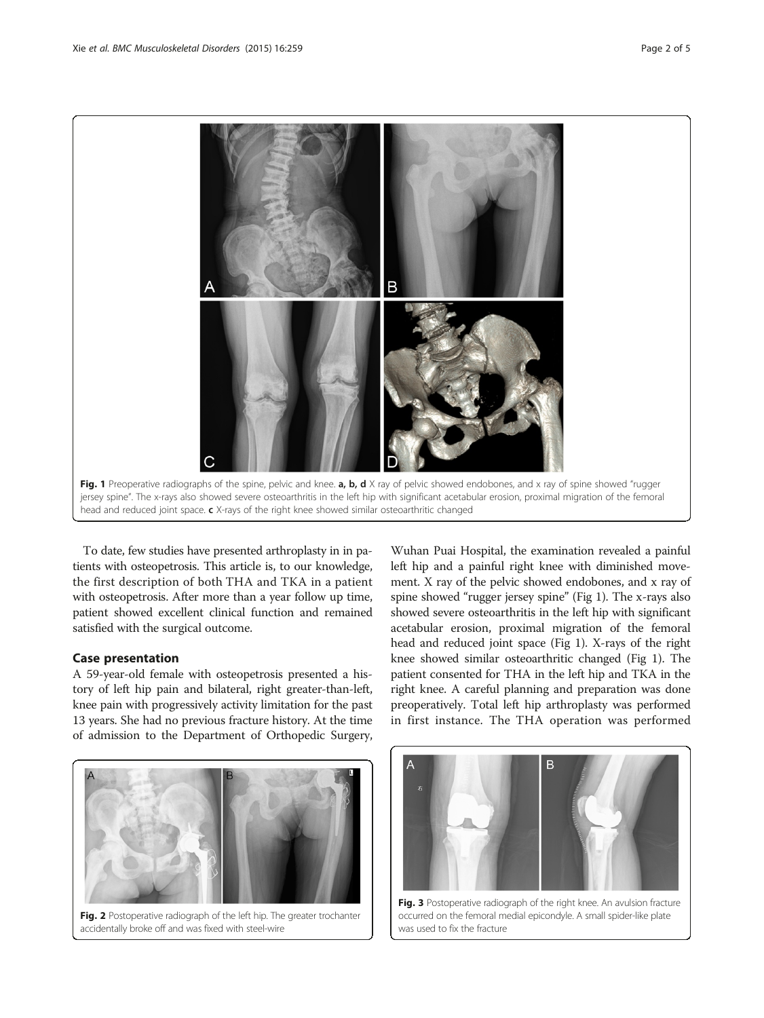<span id="page-1-0"></span>

To date, few studies have presented arthroplasty in in patients with osteopetrosis. This article is, to our knowledge, the first description of both THA and TKA in a patient with osteopetrosis. After more than a year follow up time, patient showed excellent clinical function and remained satisfied with the surgical outcome.

# Case presentation

A 59-year-old female with osteopetrosis presented a history of left hip pain and bilateral, right greater-than-left, knee pain with progressively activity limitation for the past 13 years. She had no previous fracture history. At the time of admission to the Department of Orthopedic Surgery,

Fig. 2 Postoperative radiograph of the left hip. The greater trochanter

accidentally broke off and was fixed with steel-wire

Wuhan Puai Hospital, the examination revealed a painful left hip and a painful right knee with diminished movement. X ray of the pelvic showed endobones, and x ray of spine showed "rugger jersey spine" (Fig 1). The x-rays also showed severe osteoarthritis in the left hip with significant acetabular erosion, proximal migration of the femoral head and reduced joint space (Fig 1). X-rays of the right knee showed similar osteoarthritic changed (Fig 1). The patient consented for THA in the left hip and TKA in the right knee. A careful planning and preparation was done preoperatively. Total left hip arthroplasty was performed in first instance. The THA operation was performed



occurred on the femoral medial epicondyle. A small spider-like plate was used to fix the fracture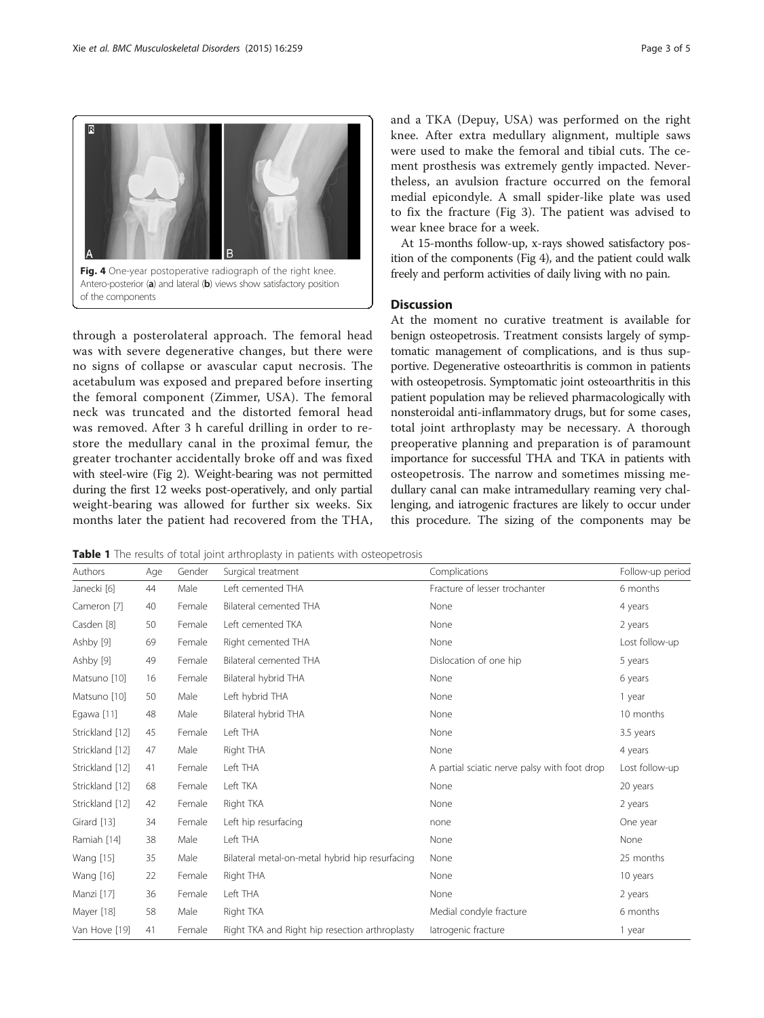<span id="page-2-0"></span>

through a posterolateral approach. The femoral head was with severe degenerative changes, but there were no signs of collapse or avascular caput necrosis. The acetabulum was exposed and prepared before inserting the femoral component (Zimmer, USA). The femoral neck was truncated and the distorted femoral head was removed. After 3 h careful drilling in order to restore the medullary canal in the proximal femur, the greater trochanter accidentally broke off and was fixed with steel-wire (Fig [2\)](#page-1-0). Weight-bearing was not permitted during the first 12 weeks post-operatively, and only partial weight-bearing was allowed for further six weeks. Six months later the patient had recovered from the THA, and a TKA (Depuy, USA) was performed on the right knee. After extra medullary alignment, multiple saws were used to make the femoral and tibial cuts. The cement prosthesis was extremely gently impacted. Nevertheless, an avulsion fracture occurred on the femoral medial epicondyle. A small spider-like plate was used to fix the fracture (Fig [3\)](#page-1-0). The patient was advised to wear knee brace for a week.

At 15-months follow-up, x-rays showed satisfactory position of the components (Fig 4), and the patient could walk freely and perform activities of daily living with no pain.

# **Discussion**

At the moment no curative treatment is available for benign osteopetrosis. Treatment consists largely of symptomatic management of complications, and is thus supportive. Degenerative osteoarthritis is common in patients with osteopetrosis. Symptomatic joint osteoarthritis in this patient population may be relieved pharmacologically with nonsteroidal anti-inflammatory drugs, but for some cases, total joint arthroplasty may be necessary. A thorough preoperative planning and preparation is of paramount importance for successful THA and TKA in patients with osteopetrosis. The narrow and sometimes missing medullary canal can make intramedullary reaming very challenging, and iatrogenic fractures are likely to occur under this procedure. The sizing of the components may be

Table 1 The results of total joint arthroplasty in patients with osteopetrosis

| Authors         | Age | Gender | Surgical treatment                              | Complications                                | Follow-up period |
|-----------------|-----|--------|-------------------------------------------------|----------------------------------------------|------------------|
| Janecki [6]     | 44  | Male   | Left cemented THA                               | Fracture of lesser trochanter                | 6 months         |
| Cameron [7]     | 40  | Female | Bilateral cemented THA                          | None                                         | 4 years          |
| Casden [8]      | 50  | Female | Left cemented TKA                               | None                                         | 2 years          |
| Ashby [9]       | 69  | Female | Right cemented THA                              | None                                         | Lost follow-up   |
| Ashby [9]       | 49  | Female | Bilateral cemented THA                          | Dislocation of one hip                       | 5 years          |
| Matsuno [10]    | 16  | Female | Bilateral hybrid THA                            | None                                         | 6 years          |
| Matsuno [10]    | 50  | Male   | Left hybrid THA                                 | None                                         | 1 year           |
| Egawa [11]      | 48  | Male   | Bilateral hybrid THA                            | None                                         | 10 months        |
| Strickland [12] | 45  | Female | Left THA                                        | None                                         | 3.5 years        |
| Strickland [12] | 47  | Male   | Right THA                                       | None                                         | 4 years          |
| Strickland [12] | 41  | Female | Left THA                                        | A partial sciatic nerve palsy with foot drop | Lost follow-up   |
| Strickland [12] | 68  | Female | Left TKA                                        | None                                         | 20 years         |
| Strickland [12] | 42  | Female | Right TKA                                       | None                                         | 2 years          |
| Girard [13]     | 34  | Female | Left hip resurfacing                            | none                                         | One year         |
| Ramiah [14]     | 38  | Male   | Left THA                                        | None                                         | None             |
| Wang [15]       | 35  | Male   | Bilateral metal-on-metal hybrid hip resurfacing | None                                         | 25 months        |
| Wang [16]       | 22  | Female | Right THA                                       | None                                         | 10 years         |
| Manzi [17]      | 36  | Female | Left THA                                        | None                                         | 2 years          |
| Mayer [18]      | 58  | Male   | Right TKA                                       | Medial condyle fracture                      | 6 months         |
| Van Hove [19]   | 41  | Female | Right TKA and Right hip resection arthroplasty  | latrogenic fracture                          | 1 year           |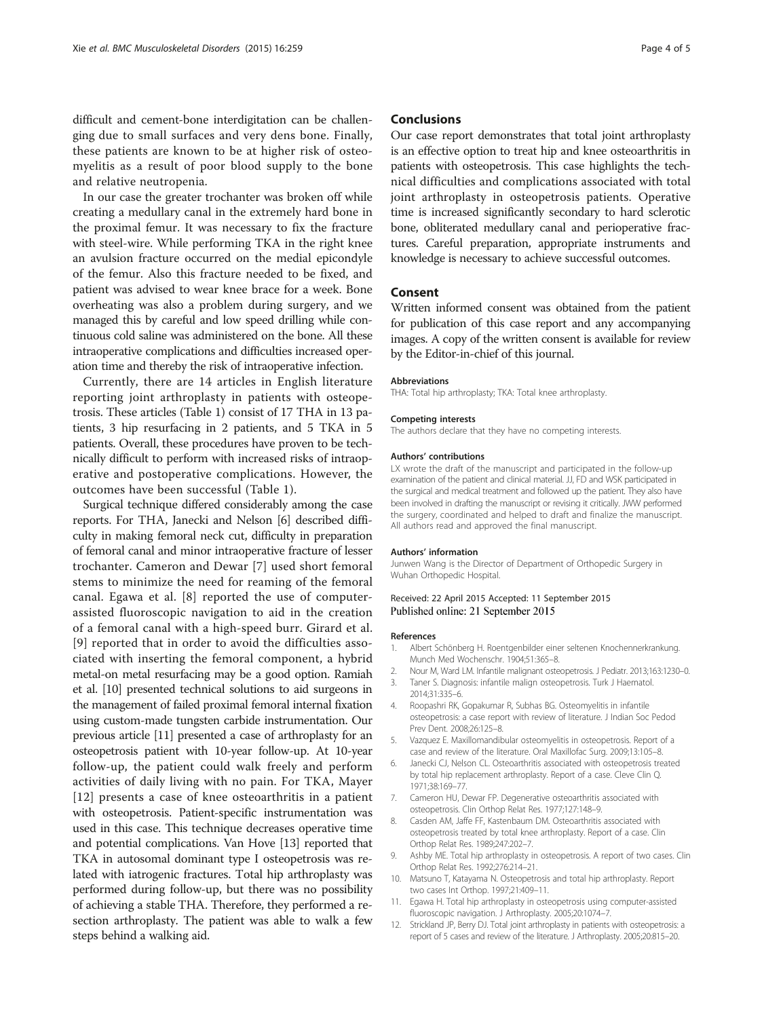<span id="page-3-0"></span>In our case the greater trochanter was broken off while creating a medullary canal in the extremely hard bone in the proximal femur. It was necessary to fix the fracture with steel-wire. While performing TKA in the right knee an avulsion fracture occurred on the medial epicondyle of the femur. Also this fracture needed to be fixed, and patient was advised to wear knee brace for a week. Bone overheating was also a problem during surgery, and we managed this by careful and low speed drilling while continuous cold saline was administered on the bone. All these intraoperative complications and difficulties increased operation time and thereby the risk of intraoperative infection.

Currently, there are 14 articles in English literature reporting joint arthroplasty in patients with osteopetrosis. These articles (Table [1](#page-2-0)) consist of 17 THA in 13 patients, 3 hip resurfacing in 2 patients, and 5 TKA in 5 patients. Overall, these procedures have proven to be technically difficult to perform with increased risks of intraoperative and postoperative complications. However, the outcomes have been successful (Table [1\)](#page-2-0).

Surgical technique differed considerably among the case reports. For THA, Janecki and Nelson [6] described difficulty in making femoral neck cut, difficulty in preparation of femoral canal and minor intraoperative fracture of lesser trochanter. Cameron and Dewar [7] used short femoral stems to minimize the need for reaming of the femoral canal. Egawa et al. [8] reported the use of computerassisted fluoroscopic navigation to aid in the creation of a femoral canal with a high-speed burr. Girard et al. [9] reported that in order to avoid the difficulties associated with inserting the femoral component, a hybrid metal-on metal resurfacing may be a good option. Ramiah et al. [10] presented technical solutions to aid surgeons in the management of failed proximal femoral internal fixation using custom-made tungsten carbide instrumentation. Our previous article [11] presented a case of arthroplasty for an osteopetrosis patient with 10-year follow-up. At 10-year follow-up, the patient could walk freely and perform activities of daily living with no pain. For TKA, Mayer [12] presents a case of knee osteoarthritis in a patient with osteopetrosis. Patient-specific instrumentation was used in this case. This technique decreases operative time and potential complications. Van Hove [\[13\]](#page-4-0) reported that TKA in autosomal dominant type I osteopetrosis was related with iatrogenic fractures. Total hip arthroplasty was performed during follow-up, but there was no possibility of achieving a stable THA. Therefore, they performed a resection arthroplasty. The patient was able to walk a few steps behind a walking aid.

## Conclusions

Our case report demonstrates that total joint arthroplasty is an effective option to treat hip and knee osteoarthritis in patients with osteopetrosis. This case highlights the technical difficulties and complications associated with total joint arthroplasty in osteopetrosis patients. Operative time is increased significantly secondary to hard sclerotic bone, obliterated medullary canal and perioperative fractures. Careful preparation, appropriate instruments and knowledge is necessary to achieve successful outcomes.

## Consent

Written informed consent was obtained from the patient for publication of this case report and any accompanying images. A copy of the written consent is available for review by the Editor-in-chief of this journal.

#### Abbreviations

THA: Total hip arthroplasty; TKA: Total knee arthroplasty.

#### Competing interests

The authors declare that they have no competing interests.

#### Authors' contributions

LX wrote the draft of the manuscript and participated in the follow-up examination of the patient and clinical material. JJ, FD and WSK participated in the surgical and medical treatment and followed up the patient. They also have been involved in drafting the manuscript or revising it critically. JWW performed the surgery, coordinated and helped to draft and finalize the manuscript. All authors read and approved the final manuscript.

#### Authors' information

Junwen Wang is the Director of Department of Orthopedic Surgery in Wuhan Orthopedic Hospital.

#### Received: 22 April 2015 Accepted: 11 September 2015 Published online: 21 September 2015

#### References

- 1. Albert Schönberg H. Roentgenbilder einer seltenen Knochennerkrankung. Munch Med Wochenschr. 1904;51:365–8.
- 2. Nour M, Ward LM. Infantile malignant osteopetrosis. J Pediatr. 2013;163:1230–0. 3. Taner S. Diagnosis: infantile malign osteopetrosis. Turk J Haematol.
- 2014;31:335–6. 4. Roopashri RK, Gopakumar R, Subhas BG. Osteomyelitis in infantile osteopetrosis: a case report with review of literature. J Indian Soc Pedod Prev Dent. 2008;26:125–8.
- 5. Vazquez E. Maxillomandibular osteomyelitis in osteopetrosis. Report of a case and review of the literature. Oral Maxillofac Surg. 2009;13:105–8.
- 6. Janecki CJ, Nelson CL. Osteoarthritis associated with osteopetrosis treated by total hip replacement arthroplasty. Report of a case. Cleve Clin Q. 1971;38:169–77.
- 7. Cameron HU, Dewar FP. Degenerative osteoarthritis associated with osteopetrosis. Clin Orthop Relat Res. 1977;127:148–9.
- 8. Casden AM, Jaffe FF, Kastenbaum DM. Osteoarthritis associated with osteopetrosis treated by total knee arthroplasty. Report of a case. Clin Orthop Relat Res. 1989;247:202–7.
- 9. Ashby ME. Total hip arthroplasty in osteopetrosis. A report of two cases. Clin Orthop Relat Res. 1992;276:214–21.
- 10. Matsuno T, Katayama N. Osteopetrosis and total hip arthroplasty. Report two cases Int Orthop. 1997;21:409–11.
- 11. Egawa H. Total hip arthroplasty in osteopetrosis using computer-assisted fluoroscopic navigation. J Arthroplasty. 2005;20:1074–7.
- 12. Strickland JP, Berry DJ. Total joint arthroplasty in patients with osteopetrosis: a report of 5 cases and review of the literature. J Arthroplasty. 2005;20:815–20.